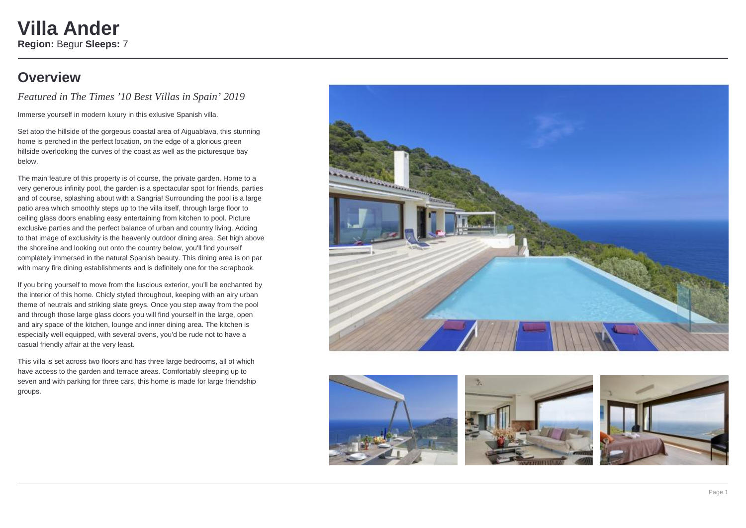### **Villa Ander Region:** Begur **Sleeps:** 7

### **Overview**

*Featured in The Times '10 Best Villas in Spain' 2019*

Immerse yourself in modern luxury in this exlusive Spanish villa.

Set atop the hillside of the gorgeous coastal area of Aiguablava, this stunning home is perched in the perfect location, on the edge of a glorious green hillside overlooking the curves of the coast as well as the picturesque bay below.

The main feature of this property is of course, the private garden. Home to a very generous infinity pool, the garden is a spectacular spot for friends, parties and of course, splashing about with a Sangria! Surrounding the pool is a large patio area which smoothly steps up to the villa itself, through large floor to ceiling glass doors enabling easy entertaining from kitchen to pool. Picture exclusive parties and the perfect balance of urban and country living. Adding to that image of exclusivity is the heavenly outdoor dining area. Set high above the shoreline and looking out onto the country below, you'll find yourself completely immersed in the natural Spanish beauty. This dining area is on par with many fire dining establishments and is definitely one for the scrapbook.

If you bring yourself to move from the luscious exterior, you'll be enchanted by the interior of this home. Chicly styled throughout, keeping with an airy urban theme of neutrals and striking slate greys. Once you step away from the pool and through those large glass doors you will find yourself in the large, open and airy space of the kitchen, lounge and inner dining area. The kitchen is especially well equipped, with several ovens, you'd be rude not to have a casual friendly affair at the very least.

This villa is set across two floors and has three large bedrooms, all of which have access to the garden and terrace areas. Comfortably sleeping up to seven and with parking for three cars, this home is made for large friendship groups.







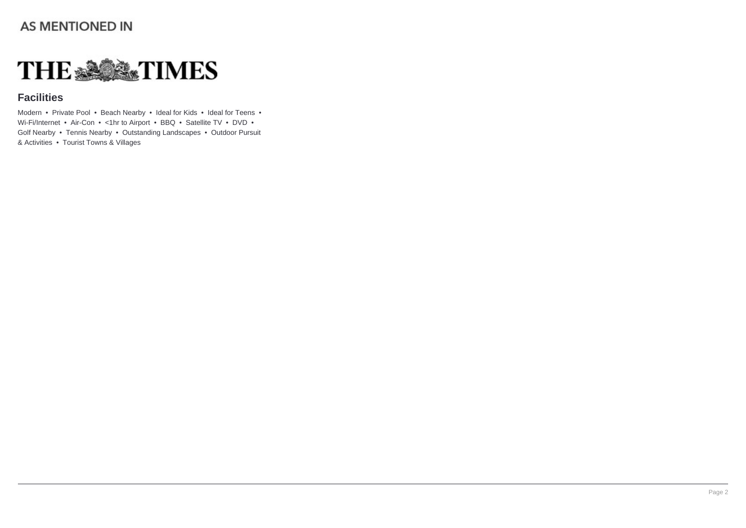### **AS MENTIONED IN**



### **Facilities**

Modern • Private Pool • Beach Nearby • Ideal for Kids • Ideal for Teens • Wi-Fi/Internet • Air-Con • <1hr to Airport • BBQ • Satellite TV • DVD • Golf Nearby • Tennis Nearby • Outstanding Landscapes • Outdoor Pursuit & Activities • Tourist Towns & Villages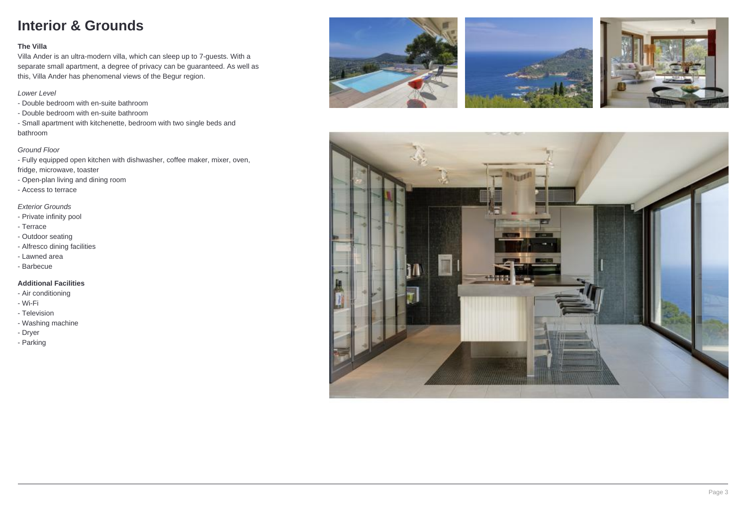# **Interior & Grounds**

#### **The Villa**

Villa Ander is an ultra-modern villa, which can sleep up to 7-guests. With a separate small apartment, a degree of privacy can be guaranteed. As well as this, Villa Ander has phenomenal views of the Begur region.

#### Lower Level

- Double bedroom with en-suite bathroom
- Double bedroom with en-suite bathroom
- Small apartment with kitchenette, bedroom with two single beds and bathroom

#### Ground Floor

- Fully equipped open kitchen with dishwasher, coffee maker, mixer, oven, fridge, microwave, toaster
- Open-plan living and dining room
- Access to terrace

#### Exterior Grounds

- Private infinity pool
- Terrace
- Outdoor seating
- Alfresco dining facilities
- Lawned area
- Barbecue

#### **Additional Facilities**

- Air conditioning
- Wi-Fi
- Television
- Washing machine
- Dryer
- Parking







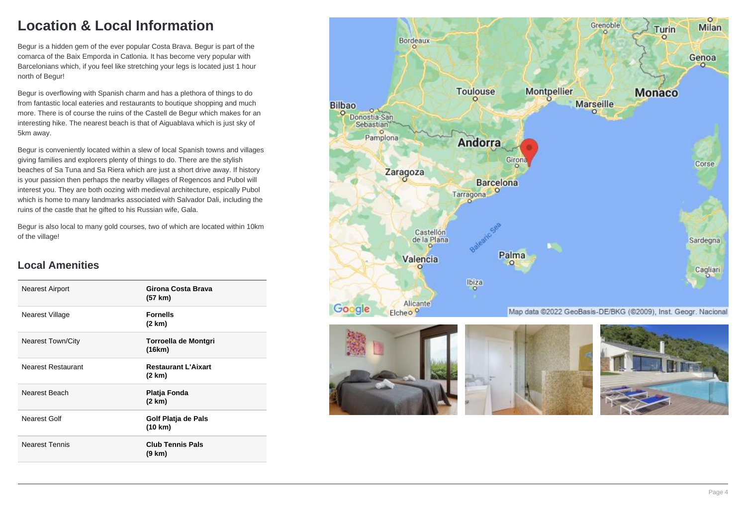# **Location & Local Information**

Begur is a hidden gem of the ever popular Costa Brava. Begur is part of the comarca of the Baix Emporda in Catlonia. It has become very popular with Barcelonians which, if you feel like stretching your legs is located just 1 hour north of Begur!

Begur is overflowing with Spanish charm and has a plethora of things to do from fantastic local eateries and restaurants to boutique shopping and much more. There is of course the ruins of the Castell de Begur which makes for an interesting hike. The nearest beach is that of Aiguablava which is just sky of 5km away.

Begur is conveniently located within a slew of local Spanish towns and villages giving families and explorers plenty of things to do. There are the stylish beaches of Sa Tuna and Sa Riera which are just a short drive away. If history is your passion then perhaps the nearby villages of Regencos and Pubol will interest you. They are both oozing with medieval architecture, espically Pubol which is home to many landmarks associated with Salvador Dali, including the ruins of the castle that he gifted to his Russian wife, Gala.

Begur is also local to many gold courses, two of which are located within 10km of the village!

### **Local Amenities**

| Nearest Airport           | Girona Costa Brava<br>(57 km)        |
|---------------------------|--------------------------------------|
| Nearest Village           | <b>Fornells</b><br>(2 km)            |
| <b>Nearest Town/City</b>  | Torroella de Montgri<br>(16km)       |
| <b>Nearest Restaurant</b> | <b>Restaurant L'Aixart</b><br>(2 km) |
| Nearest Beach             | Platja Fonda<br>(2 km)               |
| Nearest Golf              | Golf Platja de Pals<br>(10 km)       |
| <b>Nearest Tennis</b>     | <b>Club Tennis Pals</b><br>(9 km)    |

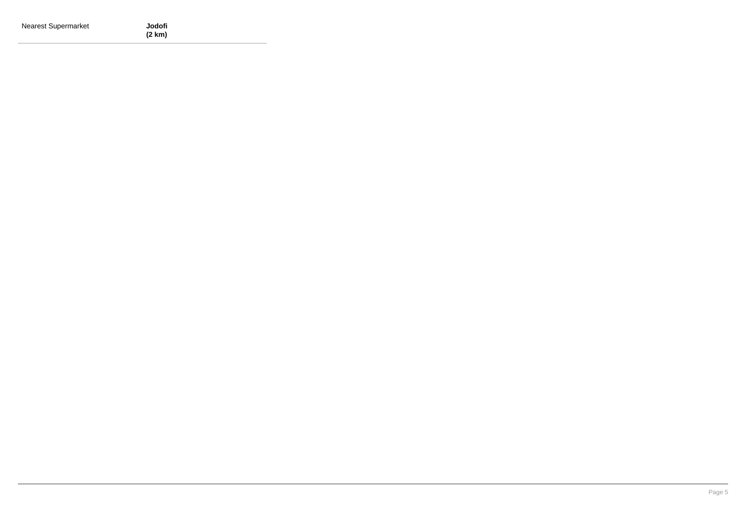| <b>Nearest Supermarket</b> | Jodofi |
|----------------------------|--------|
|                            | (2 km) |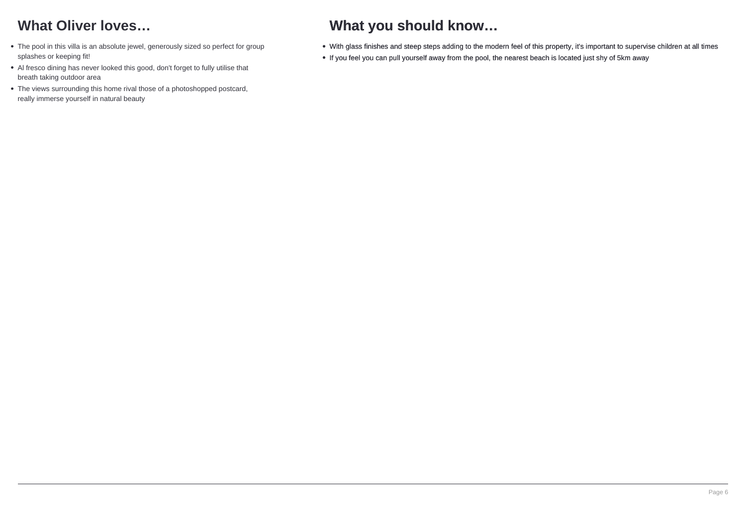# **What Oliver loves…**

- The pool in this villa is an absolute jewel, generously sized so perfect for group splashes or keeping fit!
- Al fresco dining has never looked this good, don't forget to fully utilise that breath taking outdoor area
- The views surrounding this home rival those of a photoshopped postcard, really immerse yourself in natural beauty

# **What you should know…**

- With glass finishes and steep steps adding to the modern feel of this property, it's important to supervise children at all times
- If you feel you can pull yourself away from the pool, the nearest beach is located just shy of 5km away